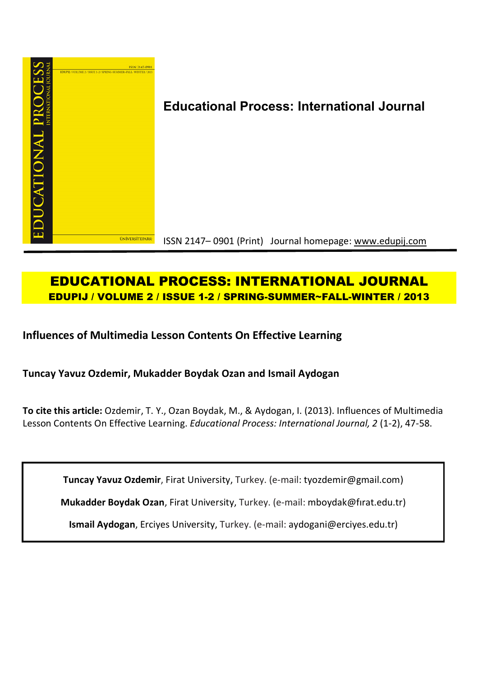

# **Educational Process: International Journal**

ISSN 2147– 0901 (Print) Journal homepage: www.edupij.com

## **EDUCATIONAL PROCESS: INTERNATIONAL JOURNAL EDUPIJ / VOLUME 2 / ISSUE 1-2 / SPRING-SUMMER~FALL-WINTER / 2013**

**Influences of Multimedia Lesson Contents On Effective Learning**

**Tuncay Yavuz Ozdemir, Mukadder Boydak Ozan and Ismail Aydogan**

**To cite this article:** Ozdemir, T. Y., Ozan Boydak, M., & Aydogan, I. (2013). Influences of Multimedia Lesson Contents On Effective Learning. *Educational Process: International Journal, 2* (1-2), 47-58.

**Tuncay Yavuz Ozdemir**, Firat University, Turkey. (e-mail: tyozdemir@gmail.com)

**Mukadder Boydak Ozan**, Firat University, Turkey. (e-mail: mboydak@fırat.edu.tr)

**Ismail Aydogan**, Erciyes University, Turkey. (e-mail: aydogani@erciyes.edu.tr)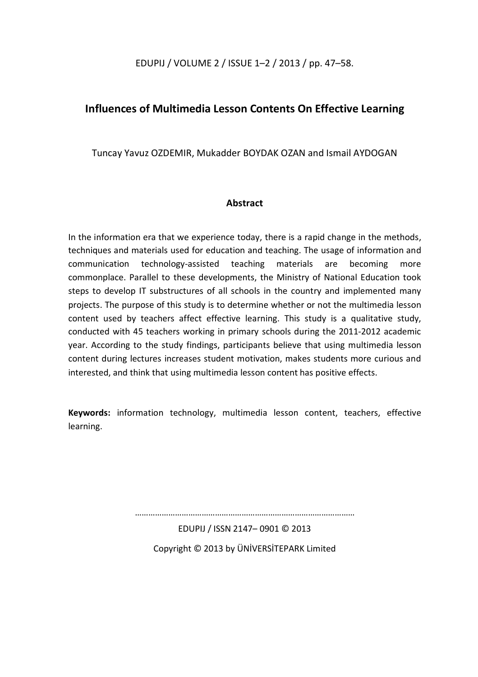EDUPIJ / VOLUME 2 / ISSUE 1–2 / 2013 / pp. 47–58.

### **Influences of Multimedia Lesson Contents On Effective Learning**

Tuncay Yavuz OZDEMIR, Mukadder BOYDAK OZAN and Ismail AYDOGAN

### **Abstract**

In the information era that we experience today, there is a rapid change in the methods, techniques and materials used for education and teaching. The usage of information and communication technology-assisted teaching materials are becoming more commonplace. Parallel to these developments, the Ministry of National Education took steps to develop IT substructures of all schools in the country and implemented many projects. The purpose of this study is to determine whether or not the multimedia lesson content used by teachers affect effective learning. This study is a qualitative study, conducted with 45 teachers working in primary schools during the 2011-2012 academic year. According to the study findings, participants believe that using multimedia lesson content during lectures increases student motivation, makes students more curious and interested, and think that using multimedia lesson content has positive effects.

**Keywords:** information technology, multimedia lesson content, teachers, effective learning.

………………………………………………………………………………………

EDUPIJ / ISSN 2147– 0901 © 2013 Copyright © 2013 by ÜNİVERSİTEPARK Limited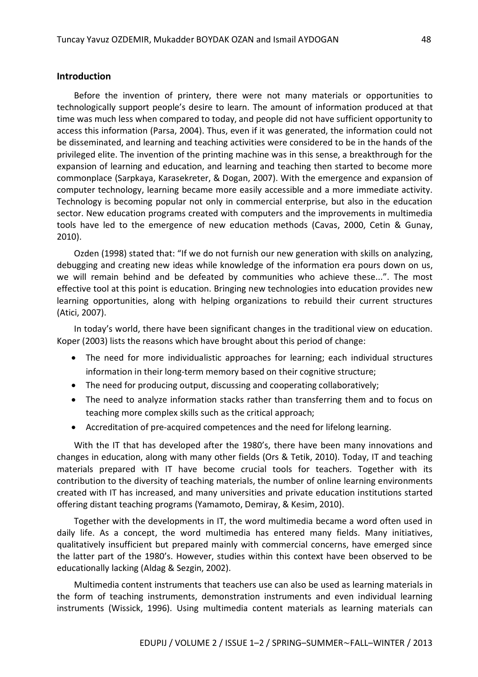#### **Introduction**

Before the invention of printery, there were not many materials or opportunities to technologically support people's desire to learn. The amount of information produced at that time was much less when compared to today, and people did not have sufficient opportunity to access this information (Parsa, 2004). Thus, even if it was generated, the information could not be disseminated, and learning and teaching activities were considered to be in the hands of the privileged elite. The invention of the printing machine was in this sense, a breakthrough for the expansion of learning and education, and learning and teaching then started to become more commonplace (Sarpkaya, Karasekreter, & Dogan, 2007). With the emergence and expansion of computer technology, learning became more easily accessible and a more immediate activity. Technology is becoming popular not only in commercial enterprise, but also in the education sector. New education programs created with computers and the improvements in multimedia tools have led to the emergence of new education methods (Cavas, 2000, Cetin & Gunay, 2010).

Ozden (1998) stated that: "If we do not furnish our new generation with skills on analyzing, debugging and creating new ideas while knowledge of the information era pours down on us, we will remain behind and be defeated by communities who achieve these...". The most effective tool at this point is education. Bringing new technologies into education provides new learning opportunities, along with helping organizations to rebuild their current structures (Atici, 2007).

In today's world, there have been significant changes in the traditional view on education. Koper (2003) lists the reasons which have brought about this period of change:

- The need for more individualistic approaches for learning; each individual structures information in their long-term memory based on their cognitive structure;
- The need for producing output, discussing and cooperating collaboratively;
- The need to analyze information stacks rather than transferring them and to focus on teaching more complex skills such as the critical approach;
- Accreditation of pre-acquired competences and the need for lifelong learning.

With the IT that has developed after the 1980's, there have been many innovations and changes in education, along with many other fields (Ors & Tetik, 2010). Today, IT and teaching materials prepared with IT have become crucial tools for teachers. Together with its contribution to the diversity of teaching materials, the number of online learning environments created with IT has increased, and many universities and private education institutions started offering distant teaching programs (Yamamoto, Demiray, & Kesim, 2010).

Together with the developments in IT, the word multimedia became a word often used in daily life. As a concept, the word multimedia has entered many fields. Many initiatives, qualitatively insufficient but prepared mainly with commercial concerns, have emerged since the latter part of the 1980's. However, studies within this context have been observed to be educationally lacking (Aldag & Sezgin, 2002).

Multimedia content instruments that teachers use can also be used as learning materials in the form of teaching instruments, demonstration instruments and even individual learning instruments (Wissick, 1996). Using multimedia content materials as learning materials can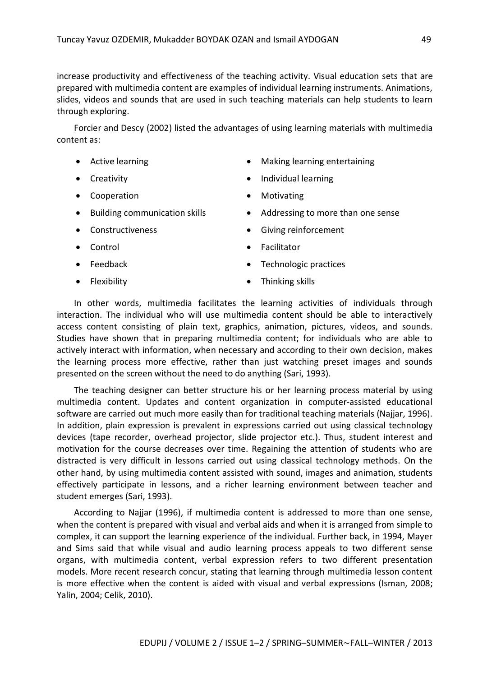increase productivity and effectiveness of the teaching activity. Visual education sets that are prepared with multimedia content are examples of individual learning instruments. Animations, slides, videos and sounds that are used in such teaching materials can help students to learn through exploring.

Forcier and Descy (2002) listed the advantages of using learning materials with multimedia content as:

- Active learning
- Creativity
- Cooperation
- Building communication skills
- Constructiveness
- Control
- Feedback
- Flexibility
- Making learning entertaining
- Individual learning
- Motivating
- Addressing to more than one sense
- Giving reinforcement
- Facilitator
- Technologic practices
- Thinking skills

In other words, multimedia facilitates the learning activities of individuals through interaction. The individual who will use multimedia content should be able to interactively access content consisting of plain text, graphics, animation, pictures, videos, and sounds. Studies have shown that in preparing multimedia content; for individuals who are able to actively interact with information, when necessary and according to their own decision, makes the learning process more effective, rather than just watching preset images and sounds presented on the screen without the need to do anything (Sari, 1993).

The teaching designer can better structure his or her learning process material by using multimedia content. Updates and content organization in computer-assisted educational software are carried out much more easily than for traditional teaching materials (Najjar, 1996). In addition, plain expression is prevalent in expressions carried out using classical technology devices (tape recorder, overhead projector, slide projector etc.). Thus, student interest and motivation for the course decreases over time. Regaining the attention of students who are distracted is very difficult in lessons carried out using classical technology methods. On the other hand, by using multimedia content assisted with sound, images and animation, students effectively participate in lessons, and a richer learning environment between teacher and student emerges (Sari, 1993).

According to Najjar (1996), if multimedia content is addressed to more than one sense, when the content is prepared with visual and verbal aids and when it is arranged from simple to complex, it can support the learning experience of the individual. Further back, in 1994, Mayer and Sims said that while visual and audio learning process appeals to two different sense organs, with multimedia content, verbal expression refers to two different presentation models. More recent research concur, stating that learning through multimedia lesson content is more effective when the content is aided with visual and verbal expressions (Isman, 2008; Yalin, 2004; Celik, 2010).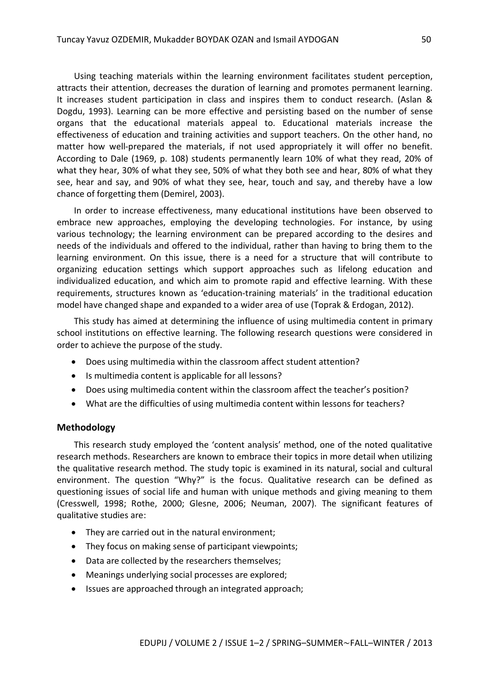Using teaching materials within the learning environment facilitates student perception, attracts their attention, decreases the duration of learning and promotes permanent learning. It increases student participation in class and inspires them to conduct research. (Aslan & Dogdu, 1993). Learning can be more effective and persisting based on the number of sense organs that the educational materials appeal to. Educational materials increase the effectiveness of education and training activities and support teachers. On the other hand, no matter how well-prepared the materials, if not used appropriately it will offer no benefit. According to Dale (1969, p. 108) students permanently learn 10% of what they read, 20% of what they hear, 30% of what they see, 50% of what they both see and hear, 80% of what they see, hear and say, and 90% of what they see, hear, touch and say, and thereby have a low chance of forgetting them (Demirel, 2003).

In order to increase effectiveness, many educational institutions have been observed to embrace new approaches, employing the developing technologies. For instance, by using various technology; the learning environment can be prepared according to the desires and needs of the individuals and offered to the individual, rather than having to bring them to the learning environment. On this issue, there is a need for a structure that will contribute to organizing education settings which support approaches such as lifelong education and individualized education, and which aim to promote rapid and effective learning. With these requirements, structures known as 'education-training materials' in the traditional education model have changed shape and expanded to a wider area of use (Toprak & Erdogan, 2012).

This study has aimed at determining the influence of using multimedia content in primary school institutions on effective learning. The following research questions were considered in order to achieve the purpose of the study.

- Does using multimedia within the classroom affect student attention?
- Is multimedia content is applicable for all lessons?
- Does using multimedia content within the classroom affect the teacher's position?
- What are the difficulties of using multimedia content within lessons for teachers?

#### **Methodology**

This research study employed the 'content analysis' method, one of the noted qualitative research methods. Researchers are known to embrace their topics in more detail when utilizing the qualitative research method. The study topic is examined in its natural, social and cultural environment. The question "Why?" is the focus. Qualitative research can be defined as questioning issues of social life and human with unique methods and giving meaning to them (Cresswell, 1998; Rothe, 2000; Glesne, 2006; Neuman, 2007). The significant features of qualitative studies are:

- They are carried out in the natural environment:
- They focus on making sense of participant viewpoints;
- Data are collected by the researchers themselves;
- Meanings underlying social processes are explored;
- Issues are approached through an integrated approach;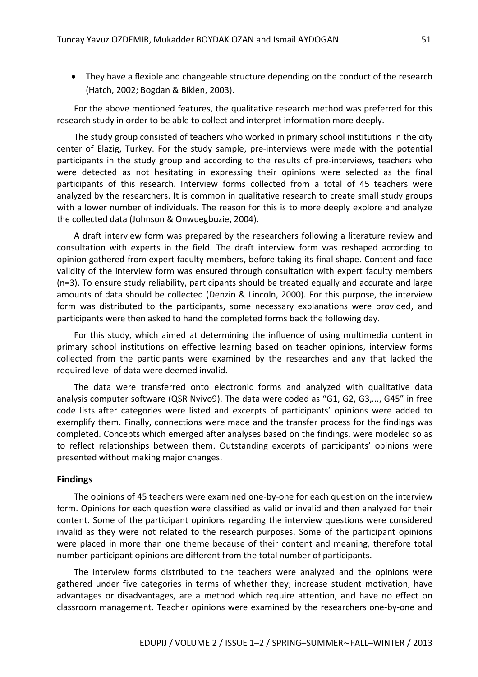They have a flexible and changeable structure depending on the conduct of the research (Hatch, 2002; Bogdan & Biklen, 2003).

For the above mentioned features, the qualitative research method was preferred for this research study in order to be able to collect and interpret information more deeply.

The study group consisted of teachers who worked in primary school institutions in the city center of Elazig, Turkey. For the study sample, pre-interviews were made with the potential participants in the study group and according to the results of pre-interviews, teachers who were detected as not hesitating in expressing their opinions were selected as the final participants of this research. Interview forms collected from a total of 45 teachers were analyzed by the researchers. It is common in qualitative research to create small study groups with a lower number of individuals. The reason for this is to more deeply explore and analyze the collected data (Johnson & Onwuegbuzie, 2004).

A draft interview form was prepared by the researchers following a literature review and consultation with experts in the field. The draft interview form was reshaped according to opinion gathered from expert faculty members, before taking its final shape. Content and face validity of the interview form was ensured through consultation with expert faculty members (n=3). To ensure study reliability, participants should be treated equally and accurate and large amounts of data should be collected (Denzin & Lincoln, 2000). For this purpose, the interview form was distributed to the participants, some necessary explanations were provided, and participants were then asked to hand the completed forms back the following day.

For this study, which aimed at determining the influence of using multimedia content in primary school institutions on effective learning based on teacher opinions, interview forms collected from the participants were examined by the researches and any that lacked the required level of data were deemed invalid.

The data were transferred onto electronic forms and analyzed with qualitative data analysis computer software (QSR Nvivo9). The data were coded as "G1, G2, G3,..., G45" in free code lists after categories were listed and excerpts of participants' opinions were added to exemplify them. Finally, connections were made and the transfer process for the findings was completed. Concepts which emerged after analyses based on the findings, were modeled so as to reflect relationships between them. Outstanding excerpts of participants' opinions were presented without making major changes.

#### **Findings**

The opinions of 45 teachers were examined one-by-one for each question on the interview form. Opinions for each question were classified as valid or invalid and then analyzed for their content. Some of the participant opinions regarding the interview questions were considered invalid as they were not related to the research purposes. Some of the participant opinions were placed in more than one theme because of their content and meaning, therefore total number participant opinions are different from the total number of participants.

The interview forms distributed to the teachers were analyzed and the opinions were gathered under five categories in terms of whether they; increase student motivation, have advantages or disadvantages, are a method which require attention, and have no effect on classroom management. Teacher opinions were examined by the researchers one-by-one and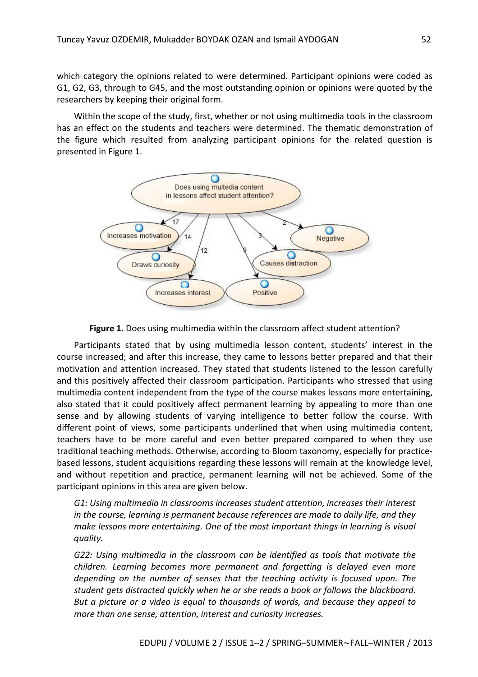which category the opinions related to were determined. Participant opinions were coded as G1, G2, G3, through to G45, and the most outstanding opinion or opinions were quoted by the researchers by keeping their original form.

Within the scope of the study, first, whether or not using multimedia tools in the classroom has an effect on the students and teachers were determined. The thematic demonstration of the figure which resulted from analyzing participant opinions for the related question is presented in Figure 1.





Participants stated that by using multimedia lesson content, students' interest in the course increased; and after this increase, they came to lessons better prepared and that their motivation and attention increased. They stated that students listened to the lesson carefully and this positively affected their classroom participation. Participants who stressed that using multimedia content independent from the type of the course makes lessons more entertaining, also stated that it could positively affect permanent learning by appealing to more than one sense and by allowing students of varying intelligence to better follow the course. With different point of views, some participants underlined that when using multimedia content, teachers have to be more careful and even better prepared compared to when they use traditional teaching methods. Otherwise, according to Bloom taxonomy, especially for practicebased lessons, student acquisitions regarding these lessons will remain at the knowledge level, and without repetition and practice, permanent learning will not be achieved. Some of the participant opinions in this area are given below.

*G1: Using multimedia in classrooms increases student attention, increases their interest in the course, learning is permanent because references are made to daily life, and they make lessons more entertaining. One of the most important things in learning is visual quality.*

*G22: Using multimedia in the classroom can be identified as tools that motivate the children. Learning becomes more permanent and forgetting is delayed even more depending on the number of senses that the teaching activity is focused upon. The student gets distracted quickly when he or she reads a book or follows the blackboard. But a picture or a video is equal to thousands of words, and because they appeal to more than one sense, attention, interest and curiosity increases.*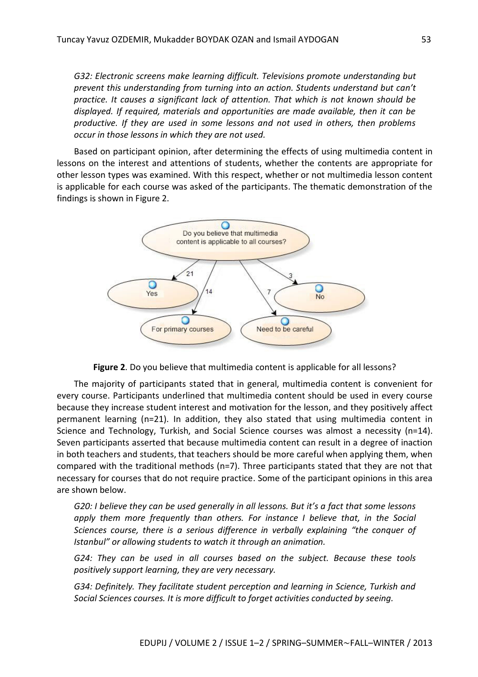*G32: Electronic screens make learning difficult. Televisions promote understanding but prevent this understanding from turning into an action. Students understand but can't practice. It causes a significant lack of attention. That which is not known should be displayed. If required, materials and opportunities are made available, then it can be productive. If they are used in some lessons and not used in others, then problems occur in those lessons in which they are not used.*

Based on participant opinion, after determining the effects of using multimedia content in lessons on the interest and attentions of students, whether the contents are appropriate for other lesson types was examined. With this respect, whether or not multimedia lesson content is applicable for each course was asked of the participants. The thematic demonstration of the findings is shown in Figure 2.



**Figure 2**. Do you believe that multimedia content is applicable for all lessons?

The majority of participants stated that in general, multimedia content is convenient for every course. Participants underlined that multimedia content should be used in every course because they increase student interest and motivation for the lesson, and they positively affect permanent learning (n=21). In addition, they also stated that using multimedia content in Science and Technology, Turkish, and Social Science courses was almost a necessity (n=14). Seven participants asserted that because multimedia content can result in a degree of inaction in both teachers and students, that teachers should be more careful when applying them, when compared with the traditional methods (n=7). Three participants stated that they are not that necessary for courses that do not require practice. Some of the participant opinions in this area are shown below.

*G20: I believe they can be used generally in all lessons. But it's a fact that some lessons apply them more frequently than others. For instance I believe that, in the Social Sciences course, there is a serious difference in verbally explaining "the conquer of Istanbul" or allowing students to watch it through an animation.*

*G24: They can be used in all courses based on the subject. Because these tools positively support learning, they are very necessary.*

*G34: Definitely. They facilitate student perception and learning in Science, Turkish and Social Sciences courses. It is more difficult to forget activities conducted by seeing.*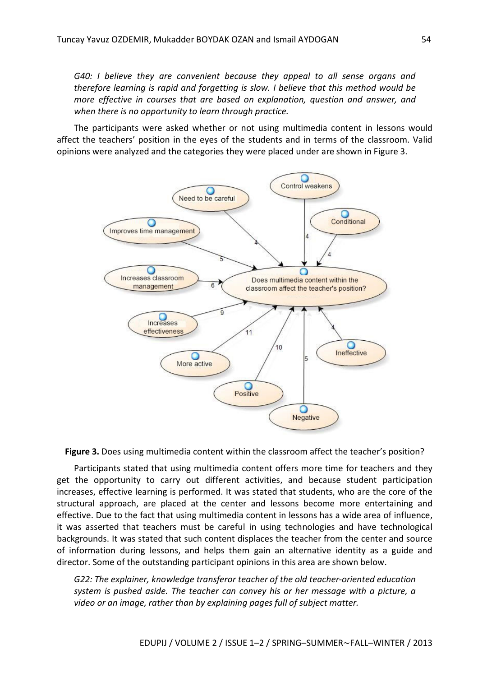*G40: I believe they are convenient because they appeal to all sense organs and therefore learning is rapid and forgetting is slow. I believe that this method would be more effective in courses that are based on explanation, question and answer, and when there is no opportunity to learn through practice.*

The participants were asked whether or not using multimedia content in lessons would affect the teachers' position in the eyes of the students and in terms of the classroom. Valid opinions were analyzed and the categories they were placed under are shown in Figure 3.



**Figure 3.** Does using multimedia content within the classroom affect the teacher's position?

Participants stated that using multimedia content offers more time for teachers and they get the opportunity to carry out different activities, and because student participation increases, effective learning is performed. It was stated that students, who are the core of the structural approach, are placed at the center and lessons become more entertaining and effective. Due to the fact that using multimedia content in lessons has a wide area of influence, it was asserted that teachers must be careful in using technologies and have technological backgrounds. It was stated that such content displaces the teacher from the center and source of information during lessons, and helps them gain an alternative identity as a guide and director. Some of the outstanding participant opinions in this area are shown below.

*G22: The explainer, knowledge transferor teacher of the old teacher-oriented education system is pushed aside. The teacher can convey his or her message with a picture, a video or an image, rather than by explaining pages full of subject matter.*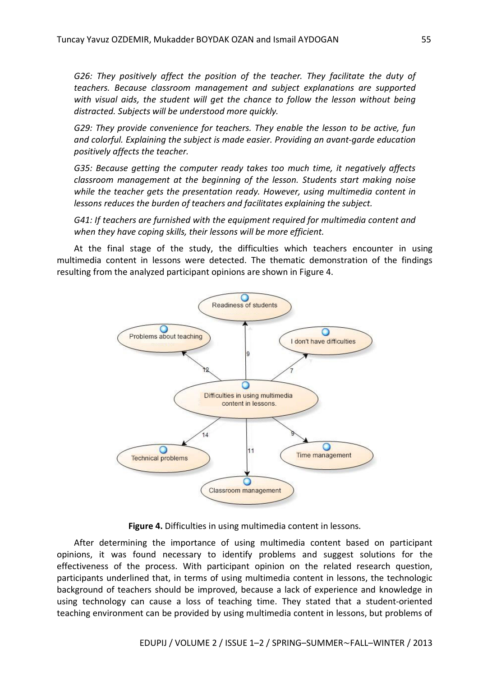*G26: They positively affect the position of the teacher. They facilitate the duty of teachers. Because classroom management and subject explanations are supported with visual aids, the student will get the chance to follow the lesson without being distracted. Subjects will be understood more quickly.*

*G29: They provide convenience for teachers. They enable the lesson to be active, fun and colorful. Explaining the subject is made easier. Providing an avant-garde education positively affects the teacher.*

*G35: Because getting the computer ready takes too much time, it negatively affects classroom management at the beginning of the lesson. Students start making noise while the teacher gets the presentation ready. However, using multimedia content in lessons reduces the burden of teachers and facilitates explaining the subject.*

*G41: If teachers are furnished with the equipment required for multimedia content and when they have coping skills, their lessons will be more efficient.*

At the final stage of the study, the difficulties which teachers encounter in using multimedia content in lessons were detected. The thematic demonstration of the findings resulting from the analyzed participant opinions are shown in Figure 4.



**Figure 4.** Difficulties in using multimedia content in lessons.

After determining the importance of using multimedia content based on participant opinions, it was found necessary to identify problems and suggest solutions for the effectiveness of the process. With participant opinion on the related research question, participants underlined that, in terms of using multimedia content in lessons, the technologic background of teachers should be improved, because a lack of experience and knowledge in using technology can cause a loss of teaching time. They stated that a student-oriented teaching environment can be provided by using multimedia content in lessons, but problems of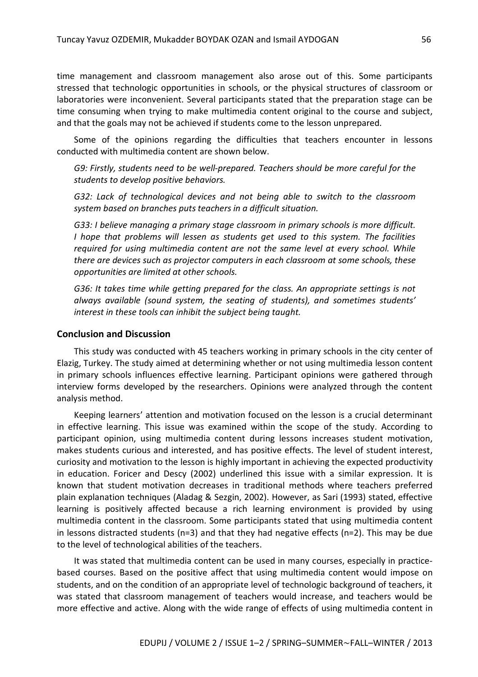time management and classroom management also arose out of this. Some participants stressed that technologic opportunities in schools, or the physical structures of classroom or laboratories were inconvenient. Several participants stated that the preparation stage can be time consuming when trying to make multimedia content original to the course and subject, and that the goals may not be achieved if students come to the lesson unprepared.

Some of the opinions regarding the difficulties that teachers encounter in lessons conducted with multimedia content are shown below.

*G9: Firstly, students need to be well-prepared. Teachers should be more careful for the students to develop positive behaviors.*

*G32: Lack of technological devices and not being able to switch to the classroom system based on branches puts teachers in a difficult situation.* 

*G33: I believe managing a primary stage classroom in primary schools is more difficult. I hope that problems will lessen as students get used to this system. The facilities required for using multimedia content are not the same level at every school. While there are devices such as projector computers in each classroom at some schools, these opportunities are limited at other schools.*

*G36: It takes time while getting prepared for the class. An appropriate settings is not always available (sound system, the seating of students), and sometimes students' interest in these tools can inhibit the subject being taught.*

#### **Conclusion and Discussion**

This study was conducted with 45 teachers working in primary schools in the city center of Elazig, Turkey. The study aimed at determining whether or not using multimedia lesson content in primary schools influences effective learning. Participant opinions were gathered through interview forms developed by the researchers. Opinions were analyzed through the content analysis method.

Keeping learners' attention and motivation focused on the lesson is a crucial determinant in effective learning. This issue was examined within the scope of the study. According to participant opinion, using multimedia content during lessons increases student motivation, makes students curious and interested, and has positive effects. The level of student interest, curiosity and motivation to the lesson is highly important in achieving the expected productivity in education. Foricer and Descy (2002) underlined this issue with a similar expression. It is known that student motivation decreases in traditional methods where teachers preferred plain explanation techniques (Aladag & Sezgin, 2002). However, as Sari (1993) stated, effective learning is positively affected because a rich learning environment is provided by using multimedia content in the classroom. Some participants stated that using multimedia content in lessons distracted students (n=3) and that they had negative effects (n=2). This may be due to the level of technological abilities of the teachers.

It was stated that multimedia content can be used in many courses, especially in practicebased courses. Based on the positive affect that using multimedia content would impose on students, and on the condition of an appropriate level of technologic background of teachers, it was stated that classroom management of teachers would increase, and teachers would be more effective and active. Along with the wide range of effects of using multimedia content in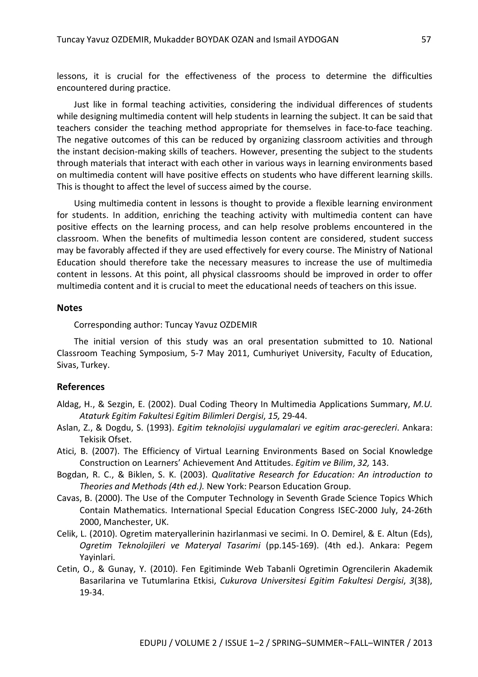lessons, it is crucial for the effectiveness of the process to determine the difficulties encountered during practice.

Just like in formal teaching activities, considering the individual differences of students while designing multimedia content will help students in learning the subject. It can be said that teachers consider the teaching method appropriate for themselves in face-to-face teaching. The negative outcomes of this can be reduced by organizing classroom activities and through the instant decision-making skills of teachers. However, presenting the subject to the students through materials that interact with each other in various ways in learning environments based on multimedia content will have positive effects on students who have different learning skills. This is thought to affect the level of success aimed by the course.

Using multimedia content in lessons is thought to provide a flexible learning environment for students. In addition, enriching the teaching activity with multimedia content can have positive effects on the learning process, and can help resolve problems encountered in the classroom. When the benefits of multimedia lesson content are considered, student success may be favorably affected if they are used effectively for every course. The Ministry of National Education should therefore take the necessary measures to increase the use of multimedia content in lessons. At this point, all physical classrooms should be improved in order to offer multimedia content and it is crucial to meet the educational needs of teachers on this issue.

#### **Notes**

Corresponding author: Tuncay Yavuz OZDEMIR

The initial version of this study was an oral presentation submitted to 10. National Classroom Teaching Symposium, 5-7 May 2011, Cumhuriyet University, Faculty of Education, Sivas, Turkey.

#### **References**

- Aldag, H., & Sezgin, E. (2002). Dual Coding Theory In Multimedia Applications Summary, *M.U. Ataturk Egitim Fakultesi Egitim Bilimleri Dergisi*, *15,* 29-44.
- Aslan, Z., & Dogdu, S. (1993). *Egitim teknolojisi uygulamalari ve egitim arac-gerecleri*. Ankara: Tekisik Ofset.
- Atici, B. (2007). The Efficiency of Virtual Learning Environments Based on Social Knowledge Construction on Learners' Achievement And Attitudes. *Egitim ve Bilim*, *32,* 143.
- Bogdan, R. C., & Biklen, S. K. (2003). *Qualitative Research for Education: An introduction to Theories and Methods (4th ed.).* New York: Pearson Education Group.
- Cavas, B. (2000). The Use of the Computer Technology in Seventh Grade Science Topics Which Contain Mathematics. International Special Education Congress ISEC-2000 July, 24-26th 2000, Manchester, UK.
- Celik, L. (2010). Ogretim materyallerinin hazirlanmasi ve secimi. In O. Demirel, & E. Altun (Eds), *Ogretim Teknolojileri ve Materyal Tasarimi* (pp.145-169). (4th ed.). Ankara: Pegem Yayinlari.
- Cetin, O., & Gunay, Y. (2010). Fen Egitiminde Web Tabanli Ogretimin Ogrencilerin Akademik Basarilarina ve Tutumlarina Etkisi, *Cukurova Universitesi Egitim Fakultesi Dergisi*, *3*(38), 19-34.